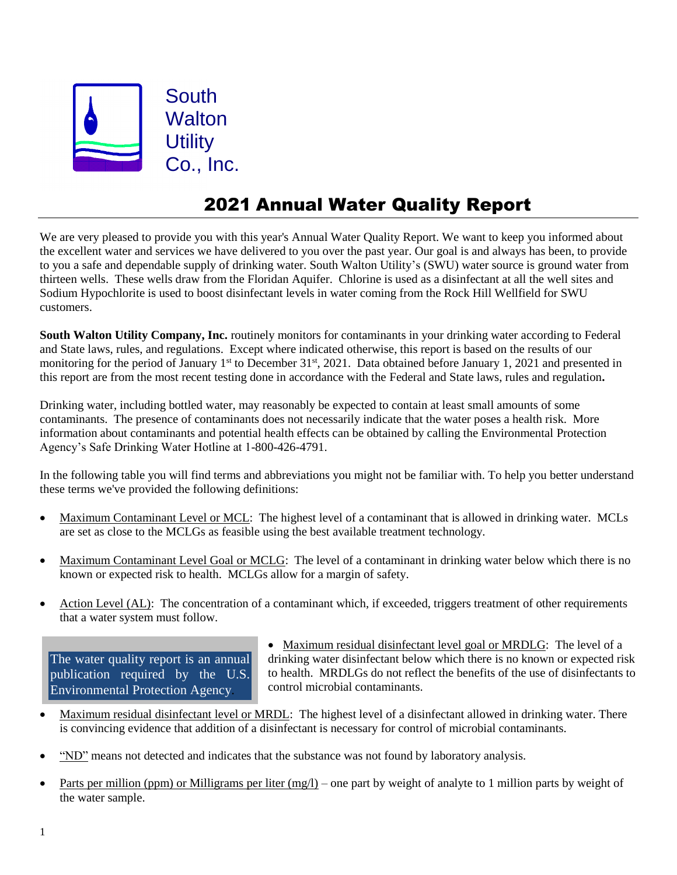

## 2021 Annual Water Quality Report

We are very pleased to provide you with this year's Annual Water Quality Report. We want to keep you informed about the excellent water and services we have delivered to you over the past year. Our goal is and always has been, to provide to you a safe and dependable supply of drinking water. South Walton Utility's (SWU) water source is ground water from thirteen wells. These wells draw from the Floridan Aquifer. Chlorine is used as a disinfectant at all the well sites and Sodium Hypochlorite is used to boost disinfectant levels in water coming from the Rock Hill Wellfield for SWU customers.

**South Walton Utility Company, Inc.** routinely monitors for contaminants in your drinking water according to Federal and State laws, rules, and regulations. Except where indicated otherwise, this report is based on the results of our monitoring for the period of January 1<sup>st</sup> to December 31<sup>st</sup>, 2021. Data obtained before January 1, 2021 and presented in this report are from the most recent testing done in accordance with the Federal and State laws, rules and regulation**.** 

Drinking water, including bottled water, may reasonably be expected to contain at least small amounts of some contaminants. The presence of contaminants does not necessarily indicate that the water poses a health risk. More information about contaminants and potential health effects can be obtained by calling the Environmental Protection Agency's Safe Drinking Water Hotline at 1-800-426-4791.

In the following table you will find terms and abbreviations you might not be familiar with. To help you better understand these terms we've provided the following definitions:

- Maximum Contaminant Level or MCL: The highest level of a contaminant that is allowed in drinking water. MCLs are set as close to the MCLGs as feasible using the best available treatment technology.
- Maximum Contaminant Level Goal or MCLG: The level of a contaminant in drinking water below which there is no known or expected risk to health. MCLGs allow for a margin of safety.
- Action Level (AL): The concentration of a contaminant which, if exceeded, triggers treatment of other requirements that a water system must follow.

The water quality report is an annual publication required by the U.S. Environmental Protection Agency.

 Maximum residual disinfectant level goal or MRDLG: The level of a drinking water disinfectant below which there is no known or expected risk to health. MRDLGs do not reflect the benefits of the use of disinfectants to control microbial contaminants.

- Maximum residual disinfectant level or MRDL: The highest level of a disinfectant allowed in drinking water. There is convincing evidence that addition of a disinfectant is necessary for control of microbial contaminants.
- "ND" means not detected and indicates that the substance was not found by laboratory analysis.
- Parts per million (ppm) or Milligrams per liter (mg/l) one part by weight of analyte to 1 million parts by weight of the water sample.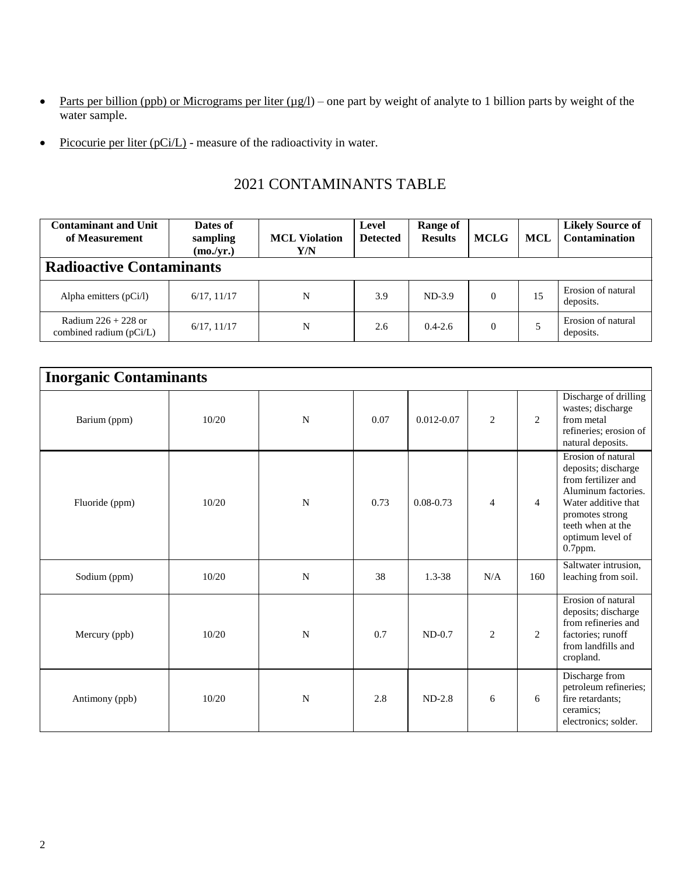- Parts per billion (ppb) or Micrograms per liter  $(\mu g/l)$  one part by weight of analyte to 1 billion parts by weight of the water sample.
- Picocurie per liter  $(pC_i/L)$  measure of the radioactivity in water.

## 2021 CONTAMINANTS TABLE

| <b>Contaminant and Unit</b><br>of Measurement      | Dates of<br>sampling<br>(mo./yr.) | <b>MCL Violation</b><br>Y/N | Level<br><b>Detected</b> | Range of<br><b>Results</b> | <b>MCLG</b> | <b>MCL</b> | <b>Likely Source of</b><br><b>Contamination</b> |  |  |
|----------------------------------------------------|-----------------------------------|-----------------------------|--------------------------|----------------------------|-------------|------------|-------------------------------------------------|--|--|
| <b>Radioactive Contaminants</b>                    |                                   |                             |                          |                            |             |            |                                                 |  |  |
| Alpha emitters $(pCi/l)$                           | 6/17, 11/17                       | N                           | 3.9                      | $ND-3.9$                   | $\Omega$    | 15         | Erosion of natural<br>deposits.                 |  |  |
| Radium $226 + 228$ or<br>combined radium $(pCi/L)$ | 6/17, 11/17                       | N                           | 2.6                      | $0.4 - 2.6$                | $\Omega$    | 5          | Erosion of natural<br>deposits.                 |  |  |

| <b>Inorganic Contaminants</b> |       |             |      |                |                |                |                                                                                                                                                                                       |
|-------------------------------|-------|-------------|------|----------------|----------------|----------------|---------------------------------------------------------------------------------------------------------------------------------------------------------------------------------------|
| Barium (ppm)                  | 10/20 | N           | 0.07 | $0.012 - 0.07$ | $\overline{2}$ | 2              | Discharge of drilling<br>wastes; discharge<br>from metal<br>refineries; erosion of<br>natural deposits.                                                                               |
| Fluoride (ppm)                | 10/20 | N           | 0.73 | $0.08 - 0.73$  | $\overline{4}$ | $\overline{4}$ | Erosion of natural<br>deposits; discharge<br>from fertilizer and<br>Aluminum factories.<br>Water additive that<br>promotes strong<br>teeth when at the<br>optimum level of<br>0.7ppm. |
| Sodium (ppm)                  | 10/20 | $\mathbf N$ | 38   | $1.3 - 38$     | N/A            | 160            | Saltwater intrusion,<br>leaching from soil.                                                                                                                                           |
| Mercury (ppb)                 | 10/20 | N           | 0.7  | $ND-0.7$       | $\overline{2}$ | 2              | Erosion of natural<br>deposits; discharge<br>from refineries and<br>factories; runoff<br>from landfills and<br>cropland.                                                              |
| Antimony (ppb)                | 10/20 | N           | 2.8  | $ND-2.8$       | 6              | 6              | Discharge from<br>petroleum refineries;<br>fire retardants;<br>ceramics:<br>electronics; solder.                                                                                      |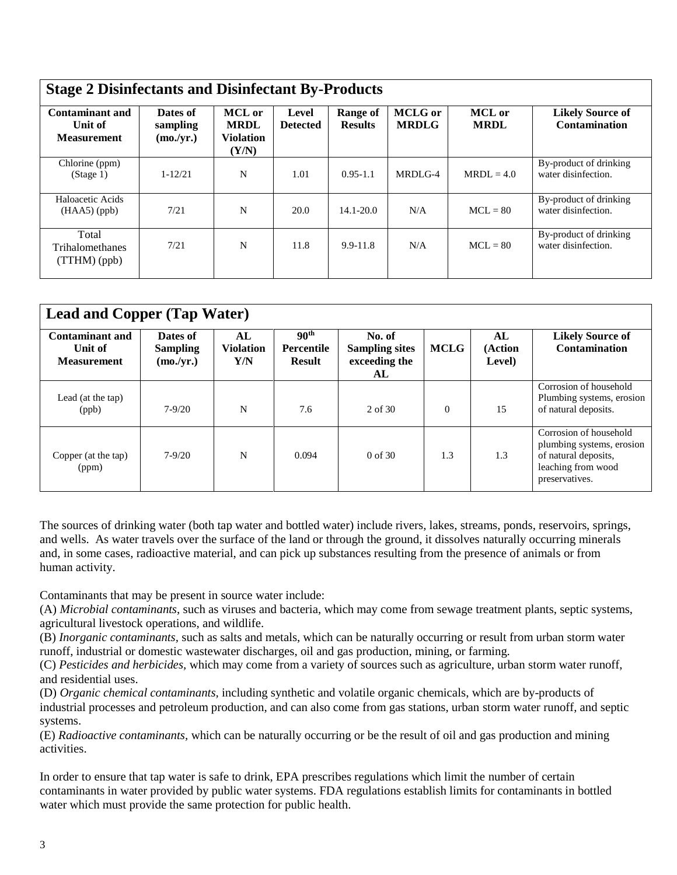| <b>Contaminant and</b><br>Unit of<br><b>Measurement</b> | Dates of<br>sampling<br>(mo./yr.) | MCL or<br><b>MRDL</b><br><b>Violation</b><br>(Y/N) | Level<br><b>Detected</b> | Range of<br><b>Results</b> | <b>MCLG</b> or<br><b>MRDLG</b> | <b>MCL</b> or<br><b>MRDL</b> | <b>Likely Source of</b><br><b>Contamination</b> |
|---------------------------------------------------------|-----------------------------------|----------------------------------------------------|--------------------------|----------------------------|--------------------------------|------------------------------|-------------------------------------------------|
| Chlorine (ppm)<br>(Stage 1)                             | $1 - 12/21$                       | N                                                  | 1.01                     | $0.95 - 1.1$               | $MRDI.G-4$                     | $MRDL = 4.0$                 | By-product of drinking<br>water disinfection.   |
| Haloacetic Acids<br>$(HAA5)$ (ppb)                      | 7/21                              | N                                                  | 20.0                     | $14.1 - 20.0$              | N/A                            | $MCL = 80$                   | By-product of drinking<br>water disinfection.   |
| Total<br><b>Trihalomethanes</b><br>$(TTHM)$ (ppb)       | 7/21                              | N                                                  | 11.8                     | $9.9 - 11.8$               | N/A                            | $MCL = 80$                   | By-product of drinking<br>water disinfection.   |

| <b>Lead and Copper (Tap Water)</b>                      |                                          |                               |                                                        |                                                        |             |                         |                                                                                                                     |  |
|---------------------------------------------------------|------------------------------------------|-------------------------------|--------------------------------------------------------|--------------------------------------------------------|-------------|-------------------------|---------------------------------------------------------------------------------------------------------------------|--|
| <b>Contaminant and</b><br>Unit of<br><b>Measurement</b> | Dates of<br><b>Sampling</b><br>(mo./yr.) | AL<br><b>Violation</b><br>Y/N | 90 <sup>th</sup><br><b>Percentile</b><br><b>Result</b> | No. of<br><b>Sampling sites</b><br>exceeding the<br>AL | <b>MCLG</b> | AL<br>(Action<br>Level) | <b>Likely Source of</b><br><b>Contamination</b>                                                                     |  |
| Lead (at the tap)<br>(ppb)                              | $7 - 9/20$                               | N                             | 7.6                                                    | 2 of 30                                                | $\Omega$    | 15                      | Corrosion of household<br>Plumbing systems, erosion<br>of natural deposits.                                         |  |
| Copper (at the tap)<br>(ppm)                            | $7 - 9/20$                               | N                             | 0.094                                                  | $0 \text{ of } 30$                                     | 1.3         | 1.3                     | Corrosion of household<br>plumbing systems, erosion<br>of natural deposits,<br>leaching from wood<br>preservatives. |  |

The sources of drinking water (both tap water and bottled water) include rivers, lakes, streams, ponds, reservoirs, springs, and wells. As water travels over the surface of the land or through the ground, it dissolves naturally occurring minerals and, in some cases, radioactive material, and can pick up substances resulting from the presence of animals or from human activity.

Contaminants that may be present in source water include:

(A) *Microbial contaminants*, such as viruses and bacteria, which may come from sewage treatment plants, septic systems, agricultural livestock operations, and wildlife.

(B) *Inorganic contaminants,* such as salts and metals, which can be naturally occurring or result from urban storm water runoff, industrial or domestic wastewater discharges, oil and gas production, mining, or farming.

(C) *Pesticides and herbicides,* which may come from a variety of sources such as agriculture, urban storm water runoff, and residential uses.

(D) *Organic chemical contaminants,* including synthetic and volatile organic chemicals, which are by-products of industrial processes and petroleum production, and can also come from gas stations, urban storm water runoff, and septic systems.

(E) *Radioactive contaminants,* which can be naturally occurring or be the result of oil and gas production and mining activities.

In order to ensure that tap water is safe to drink, EPA prescribes regulations which limit the number of certain contaminants in water provided by public water systems. FDA regulations establish limits for contaminants in bottled water which must provide the same protection for public health.